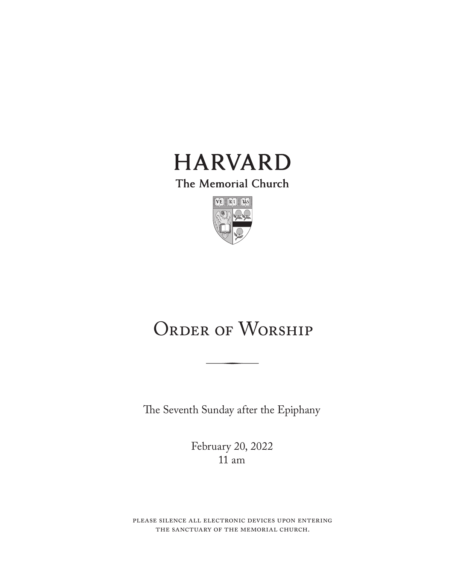

The Memorial Church



# ORDER OF WORSHIP

The Seventh Sunday after the Epiphany

February 20, 2022 11 am

please silence all electronic devices upon entering the sanctuary of the memorial church.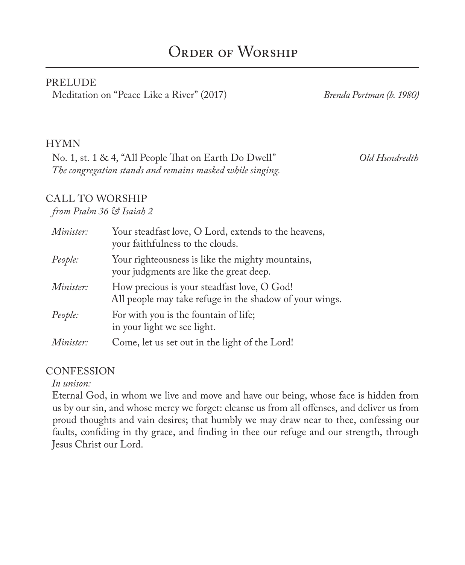#### PRELUDE

Meditation on "Peace Like a River" (2017) *Brenda Portman (b. 1980)*

#### HYMN

No. 1, st. 1 & 4, "All People That on Earth Do Dwell" *Old Hundredth The congregation stands and remains masked while singing.*

### CALL TO WORSHIP

#### *from Psalm 36 & Isaiah 2*

| Minister: | Your steadfast love, O Lord, extends to the heavens,<br>your faithfulness to the clouds.               |
|-----------|--------------------------------------------------------------------------------------------------------|
| People:   | Your righteousness is like the mighty mountains,<br>your judgments are like the great deep.            |
| Minister: | How precious is your steadfast love, O God!<br>All people may take refuge in the shadow of your wings. |
| People:   | For with you is the fountain of life;<br>in your light we see light.                                   |
| Minister: | Come, let us set out in the light of the Lord!                                                         |

#### **CONFESSION**

#### *In unison:*

Eternal God, in whom we live and move and have our being, whose face is hidden from us by our sin, and whose mercy we forget: cleanse us from all offenses, and deliver us from proud thoughts and vain desires; that humbly we may draw near to thee, confessing our faults, confiding in thy grace, and finding in thee our refuge and our strength, through Jesus Christ our Lord.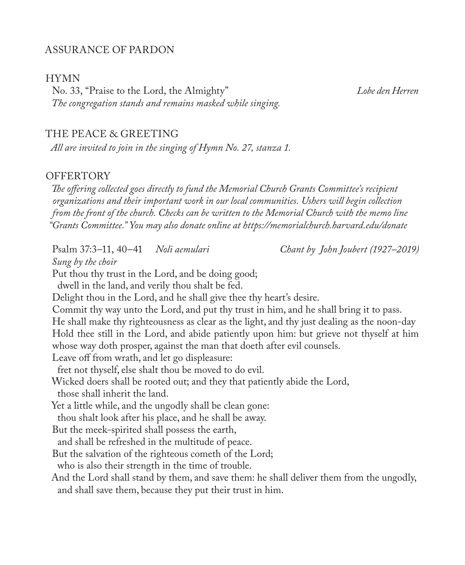### ASSURANCE OF PARDON

#### HYMN

No. 33, "Praise to the Lord, the Almighty" *Lobe den Herren The congregation stands and remains masked while singing.*

#### THE PEACE & GREETING

*All are invited to join in the singing of Hymn No. 27, stanza 1.*

#### **OFFERTORY**

*The offering collected goes directly to fund the Memorial Church Grants Committee's recipient organizations and their important work in our local communities. Ushers will begin collection from the front of the church. Checks can be written to the Memorial Church with the memo line "Grants Committee." You may also donate online at https://memorialchurch.harvard.edu/donate* 

Psalm 37:3–11, 40–41 *Noli aemulari Chant by John Joubert (1927–2019)*

*Sung by the choir*

Put thou thy trust in the Lord, and be doing good;

dwell in the land, and verily thou shalt be fed.

Delight thou in the Lord, and he shall give thee thy heart's desire.

Commit thy way unto the Lord, and put thy trust in him, and he shall bring it to pass. He shall make thy righteousness as clear as the light, and thy just dealing as the noon-day Hold thee still in the Lord, and abide patiently upon him: but grieve not thyself at him whose way doth prosper, against the man that doeth after evil counsels.

Leave off from wrath, and let go displeasure:

fret not thyself, else shalt thou be moved to do evil.

Wicked doers shall be rooted out; and they that patiently abide the Lord,

those shall inherit the land.

Yet a little while, and the ungodly shall be clean gone:

thou shalt look after his place, and he shall be away.

But the meek-spirited shall possess the earth,

and shall be refreshed in the multitude of peace.

But the salvation of the righteous cometh of the Lord;

who is also their strength in the time of trouble.

And the Lord shall stand by them, and save them: he shall deliver them from the ungodly, and shall save them, because they put their trust in him.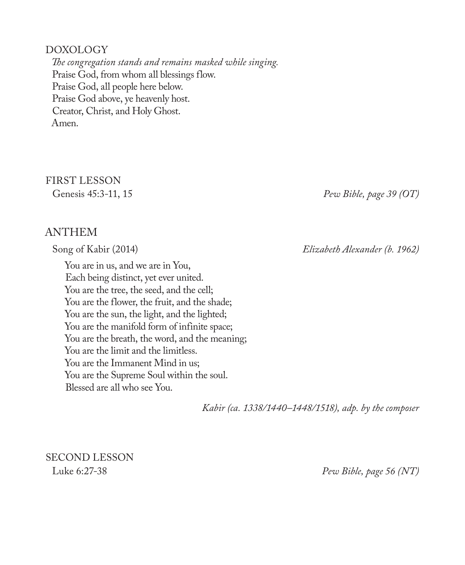#### DOXOLOGY

*The congregation stands and remains masked while singing.* Praise God, from whom all blessings flow. Praise God, all people here below. Praise God above, ye heavenly host. Creator, Christ, and Holy Ghost. Amen.

FIRST LESSON

ANTHEM

You are in us, and we are in You, Each being distinct, yet ever united. You are the tree, the seed, and the cell; You are the flower, the fruit, and the shade; You are the sun, the light, and the lighted; You are the manifold form of infinite space; You are the breath, the word, and the meaning; You are the limit and the limitless. You are the Immanent Mind in us; You are the Supreme Soul within the soul. Blessed are all who see You.

Genesis 45:3-11, 15 *Pew Bible, page 39 (OT)*

Song of Kabir (2014) *Elizabeth Alexander (b. 1962)*

*Kabir (ca. 1338/1440–1448/1518), adp. by the composer*

SECOND LESSON

Luke 6:27-38 *Pew Bible, page 56 (NT)*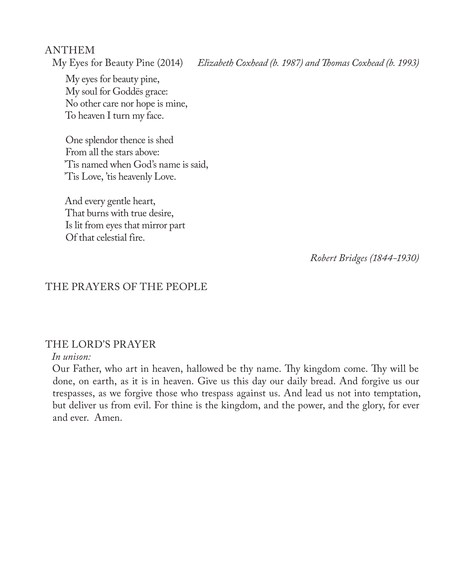ANTHEM<br>My Eyes for Beauty Pine (2014)

Elizabeth Coxhead (b. 1987) and Thomas Coxhead (b. 1993)

My eyes for beauty pine, My soul for Goddës grace: No other care nor hope is mine, To heaven I turn my face.

One splendor thence is shed From all the stars above: 'Tis named when God's name is said, 'Tis Love, 'tis heavenly Love.

And every gentle heart, That burns with true desire, Is lit from eyes that mirror part Of that celestial fire.

*Robert Bridges (1844-1930)* 

#### THE PRAYERS OF THE PEOPLE

#### THE LORD'S PRAYER

#### *In unison:*

Our Father, who art in heaven, hallowed be thy name. Thy kingdom come. Thy will be done, on earth, as it is in heaven. Give us this day our daily bread. And forgive us our trespasses, as we forgive those who trespass against us. And lead us not into temptation, but deliver us from evil. For thine is the kingdom, and the power, and the glory, for ever and ever. Amen.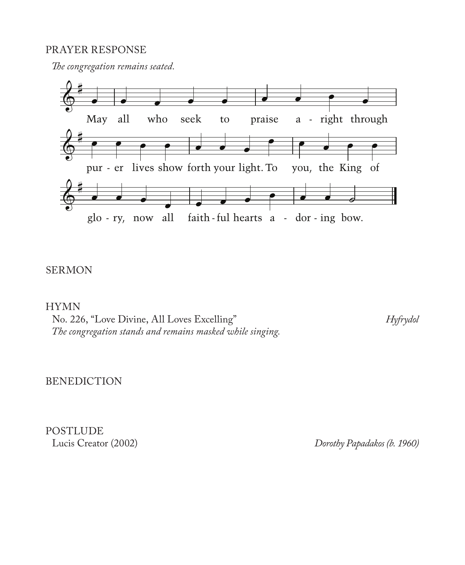#### PRAYER RESPONSE

*The congregation remains seated.*



## SERMON

HYMN

No. 226, "Love Divine, All Loves Excelling" *Hyfrydol The congregation stands and remains masked while singing.*

BENEDICTION

POSTLUDE<br>Lucis Creator (2002)

Dorothy Papadakos (b. 1960)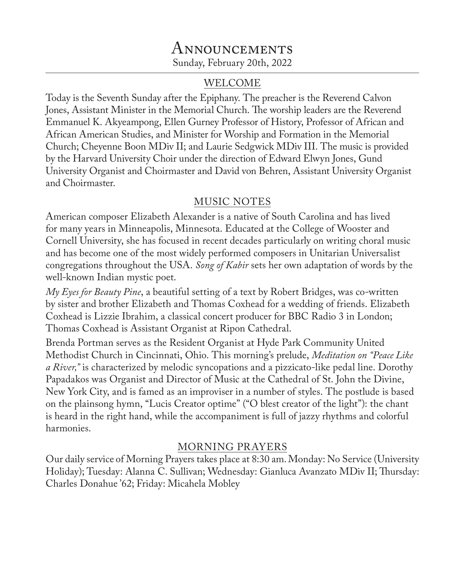## Announcements Sunday, February 20th, 2022

## WELCOME

Today is the Seventh Sunday after the Epiphany. The preacher is the Reverend Calvon Jones, Assistant Minister in the Memorial Church. The worship leaders are the Reverend Emmanuel K. Akyeampong, Ellen Gurney Professor of History, Professor of African and African American Studies, and Minister for Worship and Formation in the Memorial Church; Cheyenne Boon MDiv II; and Laurie Sedgwick MDiv III. The music is provided by the Harvard University Choir under the direction of Edward Elwyn Jones, Gund University Organist and Choirmaster and David von Behren, Assistant University Organist and Choirmaster.

## MUSIC NOTES

American composer Elizabeth Alexander is a native of South Carolina and has lived for many years in Minneapolis, Minnesota. Educated at the College of Wooster and Cornell University, she has focused in recent decades particularly on writing choral music and has become one of the most widely performed composers in Unitarian Universalist congregations throughout the USA. *Song of Kabir* sets her own adaptation of words by the well-known Indian mystic poet.

*My Eyes for Beauty Pine*, a beautiful setting of a text by Robert Bridges, was co-written by sister and brother Elizabeth and Thomas Coxhead for a wedding of friends. Elizabeth Coxhead is Lizzie Ibrahim, a classical concert producer for BBC Radio 3 in London; Thomas Coxhead is Assistant Organist at Ripon Cathedral.

Brenda Portman serves as the Resident Organist at Hyde Park Community United Methodist Church in Cincinnati, Ohio. This morning's prelude, *Meditation on "Peace Like a River,"* is characterized by melodic syncopations and a pizzicato-like pedal line. Dorothy Papadakos was Organist and Director of Music at the Cathedral of St. John the Divine, New York City, and is famed as an improviser in a number of styles. The postlude is based on the plainsong hymn, "Lucis Creator optime" ("O blest creator of the light"): the chant is heard in the right hand, while the accompaniment is full of jazzy rhythms and colorful harmonies.

## MORNING PRAYERS

Our daily service of Morning Prayers takes place at 8:30 am. Monday: No Service (University Holiday); Tuesday: Alanna C. Sullivan; Wednesday: Gianluca Avanzato MDiv II; Thursday: Charles Donahue '62; Friday: Micahela Mobley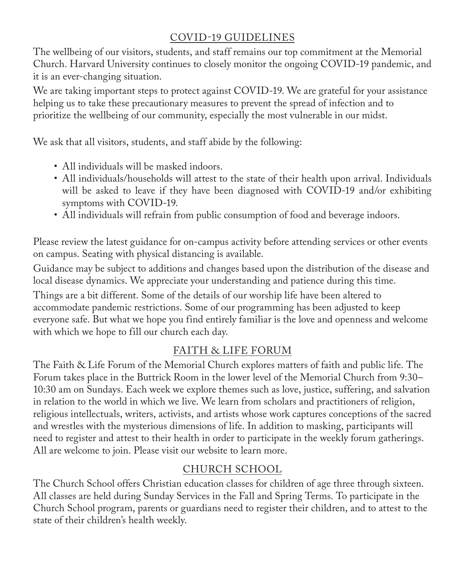## COVID-19 GUIDELINES

The wellbeing of our visitors, students, and staff remains our top commitment at the Memorial Church. Harvard University continues to closely monitor the ongoing COVID-19 pandemic, and it is an ever-changing situation.

We are taking important steps to protect against COVID-19. We are grateful for your assistance helping us to take these precautionary measures to prevent the spread of infection and to prioritize the wellbeing of our community, especially the most vulnerable in our midst.

We ask that all visitors, students, and staff abide by the following:

- All individuals will be masked indoors.
- All individuals/households will attest to the state of their health upon arrival. Individuals will be asked to leave if they have been diagnosed with COVID-19 and/or exhibiting symptoms with COVID-19.
- All individuals will refrain from public consumption of food and beverage indoors.

Please review the latest guidance for on-campus activity before attending services or other events on campus. Seating with physical distancing is available.

Guidance may be subject to additions and changes based upon the distribution of the disease and local disease dynamics. We appreciate your understanding and patience during this time.

Things are a bit different. Some of the details of our worship life have been altered to accommodate pandemic restrictions. Some of our programming has been adjusted to keep everyone safe. But what we hope you find entirely familiar is the love and openness and welcome with which we hope to fill our church each day.

## FAITH & LIFE FORUM

The Faith & Life Forum of the Memorial Church explores matters of faith and public life. The Forum takes place in the Buttrick Room in the lower level of the Memorial Church from 9:30– 10:30 am on Sundays. Each week we explore themes such as love, justice, suffering, and salvation in relation to the world in which we live. We learn from scholars and practitioners of religion, religious intellectuals, writers, activists, and artists whose work captures conceptions of the sacred and wrestles with the mysterious dimensions of life. In addition to masking, participants will need to register and attest to their health in order to participate in the weekly forum gatherings. All are welcome to join. Please visit our website to learn more.

## CHURCH SCHOOL

The Church School offers Christian education classes for children of age three through sixteen. All classes are held during Sunday Services in the Fall and Spring Terms. To participate in the Church School program, parents or guardians need to register their children, and to attest to the state of their children's health weekly.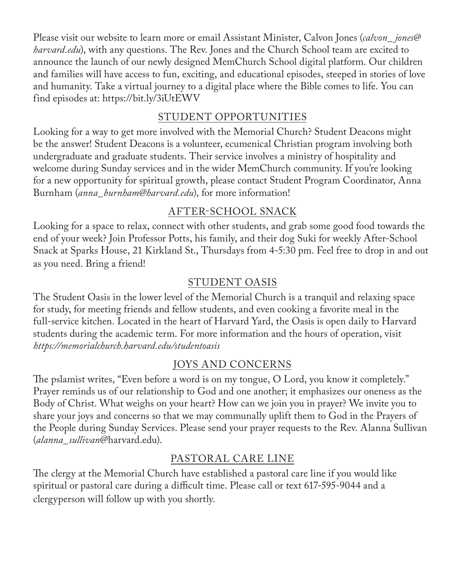Please visit our website to learn more or email Assistant Minister, Calvon Jones (*calvon\_ jones@ harvard.edu*), with any questions. The Rev. Jones and the Church School team are excited to announce the launch of our newly designed MemChurch School digital platform. Our children and families will have access to fun, exciting, and educational episodes, steeped in stories of love and humanity. Take a virtual journey to a digital place where the Bible comes to life. You can find episodes at: https://bit.ly/3iUtEWV

## STUDENT OPPORTUNITIES

Looking for a way to get more involved with the Memorial Church? Student Deacons might be the answer! Student Deacons is a volunteer, ecumenical Christian program involving both undergraduate and graduate students. Their service involves a ministry of hospitality and welcome during Sunday services and in the wider MemChurch community. If you're looking for a new opportunity for spiritual growth, please contact Student Program Coordinator, Anna Burnham (*anna\_burnham@harvard.edu*), for more information!

## AFTER-SCHOOL SNACK

Looking for a space to relax, connect with other students, and grab some good food towards the end of your week? Join Professor Potts, his family, and their dog Suki for weekly After-School Snack at Sparks House, 21 Kirkland St., Thursdays from 4-5:30 pm. Feel free to drop in and out as you need. Bring a friend!

## STUDENT OASIS

The Student Oasis in the lower level of the Memorial Church is a tranquil and relaxing space for study, for meeting friends and fellow students, and even cooking a favorite meal in the full-service kitchen. Located in the heart of Harvard Yard, the Oasis is open daily to Harvard students during the academic term. For more information and the hours of operation, visit *https://memorialchurch.harvard.edu/studentoasis*

## JOYS AND CONCERNS

The pslamist writes, "Even before a word is on my tongue, O Lord, you know it completely." Prayer reminds us of our relationship to God and one another; it emphasizes our oneness as the Body of Christ. What weighs on your heart? How can we join you in prayer? We invite you to share your joys and concerns so that we may communally uplift them to God in the Prayers of the People during Sunday Services. Please send your prayer requests to the Rev. Alanna Sullivan (*alanna\_sullivan*@harvard.edu).

## PASTORAL CARE LINE

The clergy at the Memorial Church have established a pastoral care line if you would like spiritual or pastoral care during a difficult time. Please call or text 617-595-9044 and a clergyperson will follow up with you shortly.